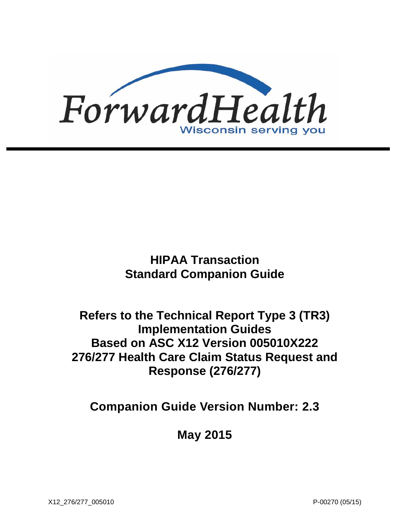

# **HIPAA Transaction Standard Companion Guide**

**Refers to the Technical Report Type 3 (TR3) Implementation Guides Based on ASC X12 Version 005010X222 276/277 Health Care Claim Status Request and Response (276/277)**

**Companion Guide Version Number: 2.3**

**May 2015**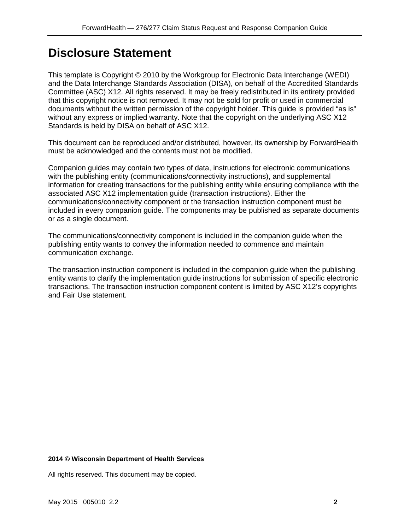# **Disclosure Statement**

This template is Copyright © 2010 by the Workgroup for Electronic Data Interchange (WEDI) and the Data Interchange Standards Association (DISA), on behalf of the Accredited Standards Committee (ASC) X12. All rights reserved. It may be freely redistributed in its entirety provided that this copyright notice is not removed. It may not be sold for profit or used in commercial documents without the written permission of the copyright holder. This guide is provided "as is" without any express or implied warranty. Note that the copyright on the underlying ASC X12 Standards is held by DISA on behalf of ASC X12.

This document can be reproduced and/or distributed, however, its ownership by ForwardHealth must be acknowledged and the contents must not be modified.

Companion guides may contain two types of data, instructions for electronic communications with the publishing entity (communications/connectivity instructions), and supplemental information for creating transactions for the publishing entity while ensuring compliance with the associated ASC X12 implementation guide (transaction instructions). Either the communications/connectivity component or the transaction instruction component must be included in every companion guide. The components may be published as separate documents or as a single document.

The communications/connectivity component is included in the companion guide when the publishing entity wants to convey the information needed to commence and maintain communication exchange.

The transaction instruction component is included in the companion guide when the publishing entity wants to clarify the implementation guide instructions for submission of specific electronic transactions. The transaction instruction component content is limited by ASC X12's copyrights and Fair Use statement.

## **2014 © Wisconsin Department of Health Services**

All rights reserved. This document may be copied.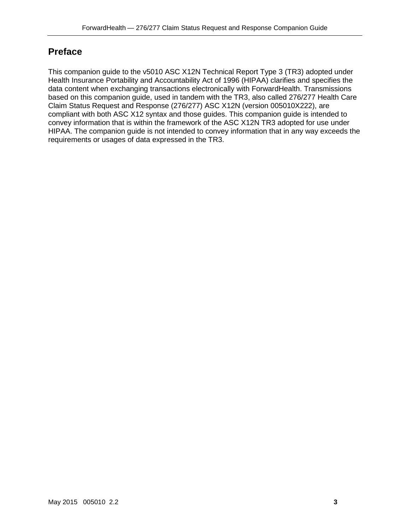# **Preface**

This companion guide to the v5010 ASC X12N Technical Report Type 3 (TR3) adopted under Health Insurance Portability and Accountability Act of 1996 (HIPAA) clarifies and specifies the data content when exchanging transactions electronically with ForwardHealth. Transmissions based on this companion guide, used in tandem with the TR3, also called 276/277 Health Care Claim Status Request and Response (276/277) ASC X12N (version 005010X222), are compliant with both ASC X12 syntax and those guides. This companion guide is intended to convey information that is within the framework of the ASC X12N TR3 adopted for use under HIPAA. The companion guide is not intended to convey information that in any way exceeds the requirements or usages of data expressed in the TR3.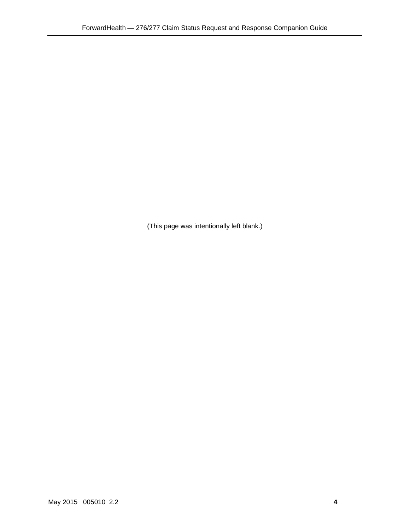(This page was intentionally left blank.)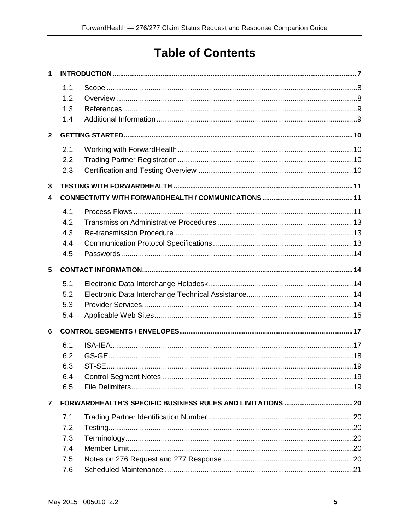# **Table of Contents**

| 1              |     |  |
|----------------|-----|--|
|                | 1.1 |  |
|                | 1.2 |  |
|                | 1.3 |  |
|                | 1.4 |  |
| $\mathbf{2}$   |     |  |
|                | 2.1 |  |
|                | 2.2 |  |
|                | 2.3 |  |
| 3              |     |  |
| 4              |     |  |
|                | 4.1 |  |
|                | 4.2 |  |
|                | 4.3 |  |
|                | 4.4 |  |
|                | 4.5 |  |
| 5              |     |  |
|                | 5.1 |  |
|                | 5.2 |  |
|                | 5.3 |  |
|                | 5.4 |  |
| 6              |     |  |
|                | 6.1 |  |
|                | 6.2 |  |
|                | 6.3 |  |
|                | 6.4 |  |
|                | 6.5 |  |
| $\overline{7}$ |     |  |
|                | 7.1 |  |
|                | 7.2 |  |
|                | 7.3 |  |
|                | 7.4 |  |
|                | 7.5 |  |
|                | 7.6 |  |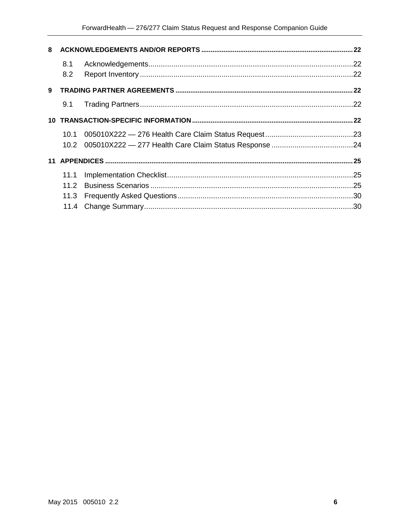| 8 |      |  |
|---|------|--|
|   | 8.1  |  |
|   | 8.2  |  |
|   |      |  |
|   | 9.1  |  |
|   |      |  |
|   | 10.1 |  |
|   |      |  |
|   |      |  |
|   | 11.1 |  |
|   |      |  |
|   |      |  |
|   |      |  |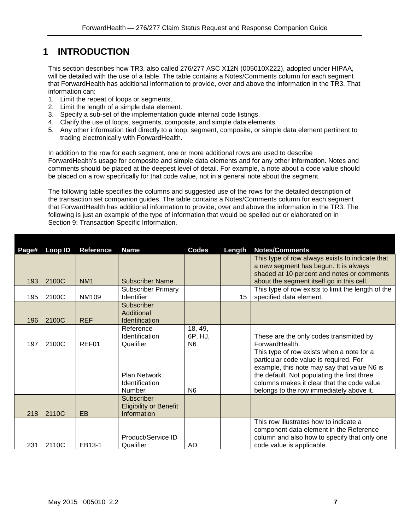# <span id="page-6-0"></span>**1 INTRODUCTION**

This section describes how TR3, also called 276/277 ASC X12N (005010X222), adopted under HIPAA, will be detailed with the use of a table. The table contains a Notes/Comments column for each segment that ForwardHealth has additional information to provide, over and above the information in the TR3. That information can:

- 1. Limit the repeat of loops or segments.
- 2. Limit the length of a simple data element.
- 3. Specify a sub-set of the implementation guide internal code listings.
- 4. Clarify the use of loops, segments, composite, and simple data elements.
- 5. Any other information tied directly to a loop, segment, composite, or simple data element pertinent to trading electronically with ForwardHealth.

In addition to the row for each segment, one or more additional rows are used to describe ForwardHealth's usage for composite and simple data elements and for any other information. Notes and comments should be placed at the deepest level of detail. For example, a note about a code value should be placed on a row specifically for that code value, not in a general note about the segment.

The following table specifies the columns and suggested use of the rows for the detailed description of the transaction set companion guides. The table contains a Notes/Comments column for each segment that ForwardHealth has additional information to provide, over and above the information in the TR3. The following is just an example of the type of information that would be spelled out or elaborated on in Section 9: Transaction Specific Information.

| Page# | Loop ID | <b>Reference</b> | <b>Name</b>                   | <b>Codes</b>   | Length          | <b>Notes/Comments</b>                                                                   |
|-------|---------|------------------|-------------------------------|----------------|-----------------|-----------------------------------------------------------------------------------------|
|       |         |                  |                               |                |                 | This type of row always exists to indicate that                                         |
|       |         |                  |                               |                |                 | a new segment has begun. It is always                                                   |
| 193   | 2100C   | NM <sub>1</sub>  | <b>Subscriber Name</b>        |                |                 | shaded at 10 percent and notes or comments<br>about the segment itself go in this cell. |
|       |         |                  | <b>Subscriber Primary</b>     |                |                 | This type of row exists to limit the length of the                                      |
| 195   | 2100C   | NM109            | <b>Identifier</b>             |                | 15 <sub>1</sub> | specified data element.                                                                 |
|       |         |                  | <b>Subscriber</b>             |                |                 |                                                                                         |
|       |         |                  | Additional                    |                |                 |                                                                                         |
| 196   | 2100C   | <b>REF</b>       | Identification                |                |                 |                                                                                         |
|       |         |                  | Reference                     | 18, 49,        |                 |                                                                                         |
|       |         |                  | Identification                | 6P, HJ,        |                 | These are the only codes transmitted by                                                 |
| 197   | 2100C   | REF01            | Qualifier                     | N <sub>6</sub> |                 | ForwardHealth.                                                                          |
|       |         |                  |                               |                |                 | This type of row exists when a note for a                                               |
|       |         |                  |                               |                |                 | particular code value is required. For                                                  |
|       |         |                  |                               |                |                 | example, this note may say that value N6 is                                             |
|       |         |                  | <b>Plan Network</b>           |                |                 | the default. Not populating the first three                                             |
|       |         |                  | Identification                |                |                 | columns makes it clear that the code value                                              |
|       |         |                  | Number<br>Subscriber          | N <sub>6</sub> |                 | belongs to the row immediately above it.                                                |
|       |         |                  | <b>Eligibility or Benefit</b> |                |                 |                                                                                         |
| 218   | 2110C   | EB               | Information                   |                |                 |                                                                                         |
|       |         |                  |                               |                |                 | This row illustrates how to indicate a                                                  |
|       |         |                  |                               |                |                 | component data element in the Reference                                                 |
|       |         |                  | Product/Service ID            |                |                 | column and also how to specify that only one                                            |
| 231   | 2110C   | EB13-1           | Qualifier                     | AD             |                 | code value is applicable.                                                               |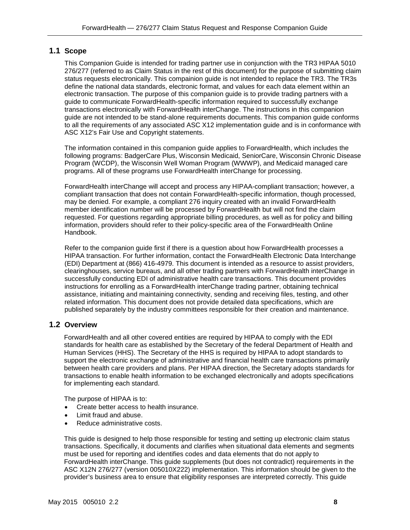# <span id="page-7-0"></span>**1.1 Scope**

This Companion Guide is intended for trading partner use in conjunction with the TR3 HIPAA 5010 276/277 (referred to as Claim Status in the rest of this document) for the purpose of submitting claim status requests electronically. This compainion guide is not intended to replace the TR3. The TR3s define the national data standards, electronic format, and values for each data element within an electronic transaction. The purpose of this companion guide is to provide trading partners with a guide to communicate ForwardHealth-specific information required to successfully exchange transactions electronically with ForwardHealth interChange. The instructions in this companion guide are not intended to be stand-alone requirements documents. This companion guide conforms to all the requirements of any associated ASC X12 implementation guide and is in conformance with ASC X12's Fair Use and Copyright statements.

The information contained in this companion guide applies to ForwardHealth, which includes the following programs: BadgerCare Plus, Wisconsin Medicaid, SeniorCare, Wisconsin Chronic Disease Program (WCDP), the Wisconsin Well Woman Program (WWWP), and Medicaid managed care programs. All of these programs use ForwardHealth interChange for processing.

ForwardHealth interChange will accept and process any HIPAA-compliant transaction; however, a compliant transaction that does not contain ForwardHealth-specific information, though processed, may be denied. For example, a compliant 276 inquiry created with an invalid ForwardHealth member identification number will be processed by ForwardHealth but will not find the claim requested. For questions regarding appropriate billing procedures, as well as for policy and billing information, providers should refer to their policy-specific area of the ForwardHealth Online Handbook.

Refer to the companion guide first if there is a question about how ForwardHealth processes a HIPAA transaction. For further information, contact the ForwardHealth Electronic Data Interchange (EDI) Department at (866) 416-4979. This document is intended as a resource to assist providers, clearinghouses, service bureaus, and all other trading partners with ForwardHealth interChange in successfully conducting EDI of administrative health care transactions. This document provides instructions for enrolling as a ForwardHealth interChange trading partner, obtaining technical assistance, initiating and maintaining connectivity, sending and receiving files, testing, and other related information. This document does not provide detailed data specifications, which are published separately by the industry committees responsible for their creation and maintenance.

# <span id="page-7-1"></span>**1.2 Overview**

ForwardHealth and all other covered entities are required by HIPAA to comply with the EDI standards for health care as established by the Secretary of the federal Department of Health and Human Services (HHS). The Secretary of the HHS is required by HIPAA to adopt standards to support the electronic exchange of administrative and financial health care transactions primarily between health care providers and plans. Per HIPAA direction, the Secretary adopts standards for transactions to enable health information to be exchanged electronically and adopts specifications for implementing each standard.

The purpose of HIPAA is to:

- Create better access to health insurance.
- Limit fraud and abuse.
- Reduce administrative costs.

This guide is designed to help those responsible for testing and setting up electronic claim status transactions. Specifically, it documents and clarifies when situational data elements and segments must be used for reporting and identifies codes and data elements that do not apply to ForwardHealth interChange. This guide supplements (but does not contradict) requirements in the ASC X12N 276/277 (version 005010X222) implementation. This information should be given to the provider's business area to ensure that eligibility responses are interpreted correctly. This guide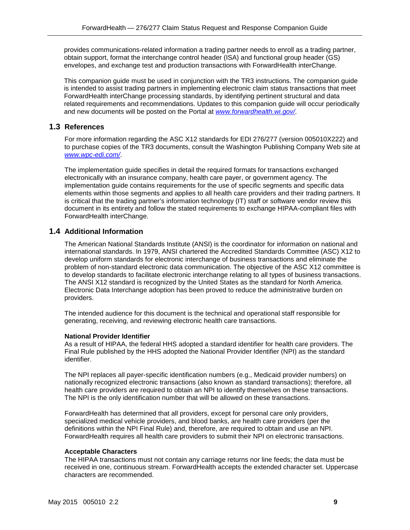provides communications-related information a trading partner needs to enroll as a trading partner, obtain support, format the interchange control header (ISA) and functional group header (GS) envelopes, and exchange test and production transactions with ForwardHealth interChange.

This companion guide must be used in conjunction with the TR3 instructions. The companion guide is intended to assist trading partners in implementing electronic claim status transactions that meet ForwardHealth interChange processing standards, by identifying pertinent structural and data related requirements and recommendations. Updates to this companion guide will occur periodically and new documents will be posted on the Portal at *[www.forwardhealth.wi.gov/](http://www.forwardhealth.wi.gov/)*.

# <span id="page-8-0"></span>**1.3 References**

For more information regarding the ASC X12 standards for EDI 276/277 (version 005010X222) and to purchase copies of the TR3 documents, consult the Washington Publishing Company Web site at *[www.wpc-edi.com/](http://www.wpc-edi.com/)*.

The implementation guide specifies in detail the required formats for transactions exchanged electronically with an insurance company, health care payer, or government agency. The implementation guide contains requirements for the use of specific segments and specific data elements within those segments and applies to all health care providers and their trading partners. It is critical that the trading partner's information technology (IT) staff or software vendor review this document in its entirety and follow the stated requirements to exchange HIPAA-compliant files with ForwardHealth interChange.

## <span id="page-8-1"></span>**1.4 Additional Information**

The American National Standards Institute (ANSI) is the coordinator for information on national and international standards. In 1979, ANSI chartered the Accredited Standards Committee (ASC) X12 to develop uniform standards for electronic interchange of business transactions and eliminate the problem of non-standard electronic data communication. The objective of the ASC X12 committee is to develop standards to facilitate electronic interchange relating to all types of business transactions. The ANSI X12 standard is recognized by the United States as the standard for North America. Electronic Data Interchange adoption has been proved to reduce the administrative burden on providers.

The intended audience for this document is the technical and operational staff responsible for generating, receiving, and reviewing electronic health care transactions.

### **National Provider Identifier**

As a result of HIPAA, the federal HHS adopted a standard identifier for health care providers. The Final Rule published by the HHS adopted the National Provider Identifier (NPI) as the standard identifier.

The NPI replaces all payer-specific identification numbers (e.g., Medicaid provider numbers) on nationally recognized electronic transactions (also known as standard transactions); therefore, all health care providers are required to obtain an NPI to identify themselves on these transactions. The NPI is the only identification number that will be allowed on these transactions.

ForwardHealth has determined that all providers, except for personal care only providers, specialized medical vehicle providers, and blood banks, are health care providers (per the definitions within the NPI Final Rule) and, therefore, are required to obtain and use an NPI. ForwardHealth requires all health care providers to submit their NPI on electronic transactions.

### **Acceptable Characters**

The HIPAA transactions must not contain any carriage returns nor line feeds; the data must be received in one, continuous stream. ForwardHealth accepts the extended character set. Uppercase characters are recommended.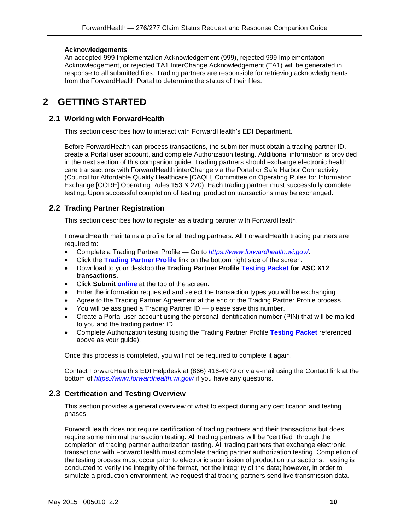### **Acknowledgements**

An accepted 999 Implementation Acknowledgement (999), rejected 999 Implementation Acknowledgement, or rejected TA1 InterChange Acknowledgement (TA1) will be generated in response to all submitted files. Trading partners are responsible for retrieving acknowledgments from the ForwardHealth Portal to determine the status of their files.

# <span id="page-9-0"></span>**2 GETTING STARTED**

### <span id="page-9-1"></span>**2.1 Working with ForwardHealth**

This section describes how to interact with ForwardHealth's EDI Department.

Before ForwardHealth can process transactions, the submitter must obtain a trading partner ID, create a Portal user account, and complete Authorization testing. Additional information is provided in the next section of this companion guide. Trading partners should exchange electronic health care transactions with ForwardHealth interChange via the Portal or Safe Harbor Connectivity (Council for Affordable Quality Healthcare [CAQH] Committee on Operating Rules for Information Exchange [CORE] Operating Rules 153 & 270). Each trading partner must successfully complete testing. Upon successful completion of testing, production transactions may be exchanged.

## <span id="page-9-2"></span>**2.2 Trading Partner Registration**

This section describes how to register as a trading partner with ForwardHealth.

ForwardHealth maintains a profile for all trading partners. All ForwardHealth trading partners are required to:

- Complete a Trading Partner Profile Go to *<https://www.forwardhealth.wi.gov/>*.
- Click the **Trading Partner Profile** link on the bottom right side of the screen.
- Download to your desktop the **Trading Partner Profile Testing Packet for ASC X12 transactions**.
- Click **Submit online** at the top of the screen.
- Enter the information requested and select the transaction types you will be exchanging.
- Agree to the Trading Partner Agreement at the end of the Trading Partner Profile process.
- You will be assigned a Trading Partner ID please save this number.
- Create a Portal user account using the personal identification number (PIN) that will be mailed to you and the trading partner ID.
- Complete Authorization testing (using the Trading Partner Profile **Testing Packet** referenced above as your guide).

Once this process is completed, you will not be required to complete it again.

Contact ForwardHealth's EDI Helpdesk at (866) 416-4979 or via e-mail using the Contact link at the bottom of *<https://www.forwardhealth.wi.gov/>* if you have any questions.

## <span id="page-9-3"></span>**2.3 Certification and Testing Overview**

This section provides a general overview of what to expect during any certification and testing phases.

ForwardHealth does not require certification of trading partners and their transactions but does require some minimal transaction testing. All trading partners will be "certified" through the completion of trading partner authorization testing. All trading partners that exchange electronic transactions with ForwardHealth must complete trading partner authorization testing. Completion of the testing process must occur prior to electronic submission of production transactions. Testing is conducted to verify the integrity of the format, not the integrity of the data; however, in order to simulate a production environment, we request that trading partners send live transmission data.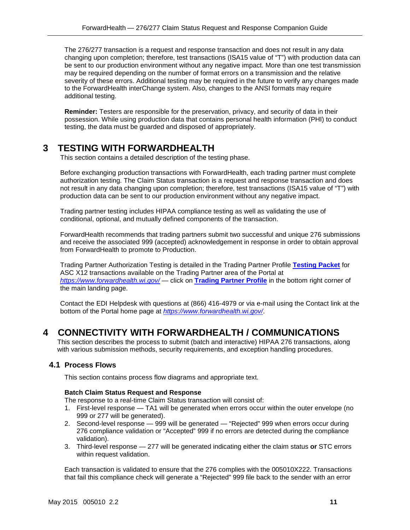The 276/277 transaction is a request and response transaction and does not result in any data changing upon completion; therefore, test transactions (ISA15 value of "T") with production data can be sent to our production environment without any negative impact. More than one test transmission may be required depending on the number of format errors on a transmission and the relative severity of these errors. Additional testing may be required in the future to verify any changes made to the ForwardHealth interChange system. Also, changes to the ANSI formats may require additional testing.

**Reminder:** Testers are responsible for the preservation, privacy, and security of data in their possession. While using production data that contains personal health information (PHI) to conduct testing, the data must be guarded and disposed of appropriately.

# <span id="page-10-0"></span>**3 TESTING WITH FORWARDHEALTH**

This section contains a detailed description of the testing phase.

Before exchanging production transactions with ForwardHealth, each trading partner must complete authorization testing. The Claim Status transaction is a request and response transaction and does not result in any data changing upon completion; therefore, test transactions (ISA15 value of "T") with production data can be sent to our production environment without any negative impact.

Trading partner testing includes HIPAA compliance testing as well as validating the use of conditional, optional, and mutually defined components of the transaction.

ForwardHealth recommends that trading partners submit two successful and unique 276 submissions and receive the associated 999 (accepted) acknowledgement in response in order to obtain approval from ForwardHealth to promote to Production.

Trading Partner Authorization Testing is detailed in the Trading Partner Profile **Testing Packet** for ASC X12 transactions available on the Trading Partner area of the Portal at *<https://www.forwardhealth.wi.gov/>* — click on **Trading Partner Profile** in the bottom right corner of the main landing page.

Contact the EDI Helpdesk with questions at (866) 416-4979 or via e-mail using the Contact link at the bottom of the Portal home page at *<https://www.forwardhealth.wi.gov/>*.

# <span id="page-10-1"></span>**4 CONNECTIVITY WITH FORWARDHEALTH / COMMUNICATIONS**

This section describes the process to submit (batch and interactive) HIPAA 276 transactions, along with various submission methods, security requirements, and exception handling procedures.

## <span id="page-10-2"></span>**4.1 Process Flows**

This section contains process flow diagrams and appropriate text.

### **Batch Claim Status Request and Response**

The response to a real-time Claim Status transaction will consist of:

- 1. First-level response TA1 will be generated when errors occur within the outer envelope (no 999 or 277 will be generated).
- 2. Second-level response 999 will be generated "Rejected" 999 when errors occur during 276 compliance validation or "Accepted" 999 if no errors are detected during the compliance validation).
- 3. Third-level response 277 will be generated indicating either the claim status **or** STC errors within request validation.

Each transaction is validated to ensure that the 276 complies with the 005010X222. Transactions that fail this compliance check will generate a "Rejected" 999 file back to the sender with an error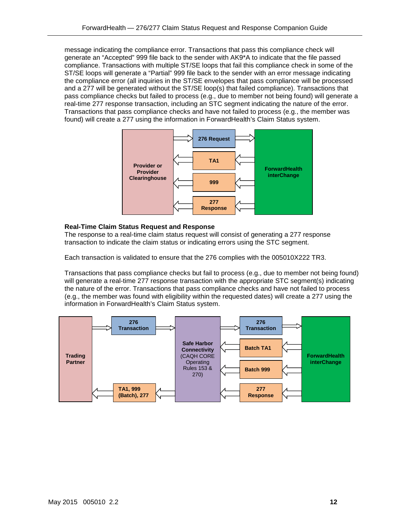message indicating the compliance error. Transactions that pass this compliance check will generate an "Accepted" 999 file back to the sender with AK9\*A to indicate that the file passed compliance. Transactions with multiple ST/SE loops that fail this compliance check in some of the ST/SE loops will generate a "Partial" 999 file back to the sender with an error message indicating the compliance error (all inquiries in the ST/SE envelopes that pass compliance will be processed and a 277 will be generated without the ST/SE loop(s) that failed compliance). Transactions that pass compliance checks but failed to process (e.g., due to member not being found) will generate a real-time 277 response transaction, including an STC segment indicating the nature of the error. Transactions that pass compliance checks and have not failed to process (e.g., the member was found) will create a 277 using the information in ForwardHealth's Claim Status system.



#### **Real-Time Claim Status Request and Response**

The response to a real-time claim status request will consist of generating a 277 response transaction to indicate the claim status or indicating errors using the STC segment.

Each transaction is validated to ensure that the 276 complies with the 005010X222 TR3.

Transactions that pass compliance checks but fail to process (e.g., due to member not being found) will generate a real-time 277 response transaction with the appropriate STC segment(s) indicating the nature of the error. Transactions that pass compliance checks and have not failed to process (e.g., the member was found with eligibility within the requested dates) will create a 277 using the information in ForwardHealth's Claim Status system.

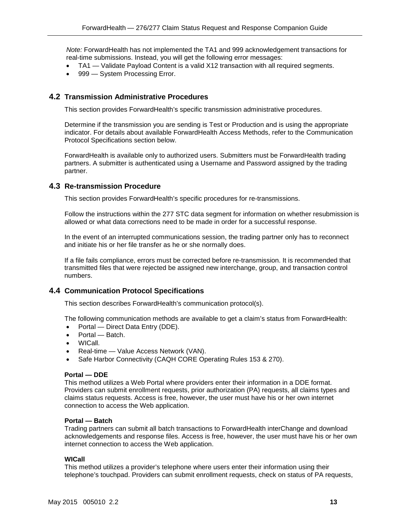<span id="page-12-0"></span>*Note:* ForwardHealth has not implemented the TA1 and 999 acknowledgement transactions for real-time submissions. Instead, you will get the following error messages:

- TA1 Validate Payload Content is a valid X12 transaction with all required segments.
- 999 System Processing Error.

### **4.2 Transmission Administrative Procedures**

This section provides ForwardHealth's specific transmission administrative procedures.

Determine if the transmission you are sending is Test or Production and is using the appropriate indicator. For details about available ForwardHealth Access Methods, refer to the Communication Protocol Specifications section below.

ForwardHealth is available only to authorized users. Submitters must be ForwardHealth trading partners. A submitter is authenticated using a Username and Password assigned by the trading partner.

### <span id="page-12-1"></span>**4.3 Re-transmission Procedure**

This section provides ForwardHealth's specific procedures for re-transmissions.

Follow the instructions within the 277 STC data segment for information on whether resubmission is allowed or what data corrections need to be made in order for a successful response.

In the event of an interrupted communications session, the trading partner only has to reconnect and initiate his or her file transfer as he or she normally does.

If a file fails compliance, errors must be corrected before re-transmission. It is recommended that transmitted files that were rejected be assigned new interchange, group, and transaction control numbers.

### <span id="page-12-2"></span>**4.4 Communication Protocol Specifications**

This section describes ForwardHealth's communication protocol(s).

The following communication methods are available to get a claim's status from ForwardHealth:

- Portal Direct Data Entry (DDE).
- Portal Batch.
- WICall.
- Real-time Value Access Network (VAN).
- Safe Harbor Connectivity (CAQH CORE Operating Rules 153 & 270).

#### **Portal — DDE**

This method utilizes a Web Portal where providers enter their information in a DDE format. Providers can submit enrollment requests, prior authorization (PA) requests, all claims types and claims status requests. Access is free, however, the user must have his or her own internet connection to access the Web application.

#### **Portal — Batch**

Trading partners can submit all batch transactions to ForwardHealth interChange and download acknowledgements and response files. Access is free, however, the user must have his or her own internet connection to access the Web application.

#### **WICall**

This method utilizes a provider's telephone where users enter their information using their telephone's touchpad. Providers can submit enrollment requests, check on status of PA requests,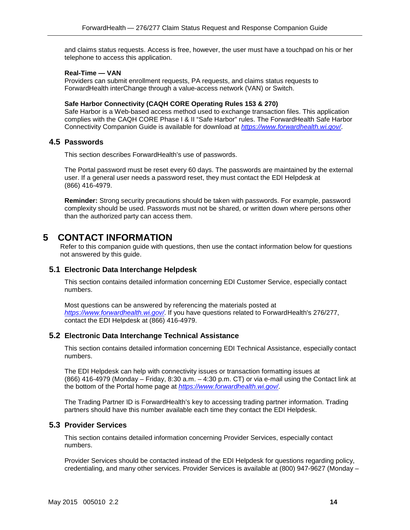and claims status requests. Access is free, however, the user must have a touchpad on his or her telephone to access this application.

### **Real-Time — VAN**

Providers can submit enrollment requests, PA requests, and claims status requests to ForwardHealth interChange through a value-access network (VAN) or Switch.

### **Safe Harbor Connectivity (CAQH CORE Operating Rules 153 & 270)**

Safe Harbor is a Web-based access method used to exchange transaction files. This application complies with the CAQH CORE Phase I & II "Safe Harbor" rules. The ForwardHealth Safe Harbor Connectivity Companion Guide is available for download at *<https://www.forwardhealth.wi.gov/>*.

### <span id="page-13-0"></span>**4.5 Passwords**

This section describes ForwardHealth's use of passwords.

The Portal password must be reset every 60 days. The passwords are maintained by the external user. If a general user needs a password reset, they must contact the EDI Helpdesk at (866) 416-4979.

**Reminder:** Strong security precautions should be taken with passwords. For example, password complexity should be used. Passwords must not be shared, or written down where persons other than the authorized party can access them.

# <span id="page-13-1"></span>**5 CONTACT INFORMATION**

Refer to this companion guide with questions, then use the contact information below for questions not answered by this guide.

### <span id="page-13-2"></span>**5.1 Electronic Data Interchange Helpdesk**

This section contains detailed information concerning EDI Customer Service, especially contact numbers.

Most questions can be answered by referencing the materials posted at *<https://www.forwardhealth.wi.gov/>*. If you have questions related to ForwardHealth's 276/277, contact the EDI Helpdesk at (866) 416-4979.

### <span id="page-13-3"></span>**5.2 Electronic Data Interchange Technical Assistance**

This section contains detailed information concerning EDI Technical Assistance, especially contact numbers.

The EDI Helpdesk can help with connectivity issues or transaction formatting issues at (866) 416-4979 (Monday – Friday, 8:30 a.m. – 4:30 p.m. CT) or via e-mail using the Contact link at the bottom of the Portal home page at *<https://www.forwardhealth.wi.gov/>*[.](https://www.forwardhealth.wi.gov/)

The Trading Partner ID is ForwardHealth's key to accessing trading partner information. Trading partners should have this number available each time they contact the EDI Helpdesk.

### <span id="page-13-4"></span>**5.3 Provider Services**

This section contains detailed information concerning Provider Services, especially contact numbers.

Provider Services should be contacted instead of the EDI Helpdesk for questions regarding policy, credentialing, and many other services. Provider Services is available at (800) 947-9627 (Monday –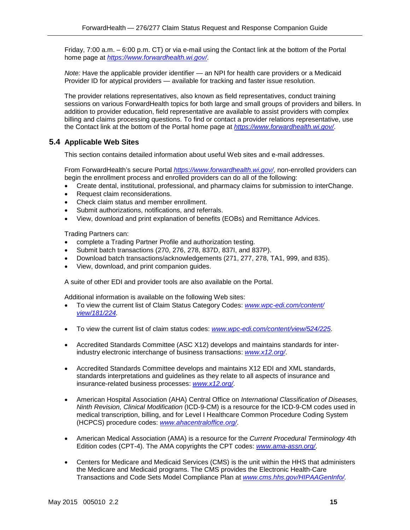Friday, 7:00 a.m. – 6:00 p.m. CT) or via e-mail using the Contact link at the bottom of the Portal home page at *<https://www.forwardhealth.wi.gov/>*.

*Note:* Have the applicable provider identifier — an NPI for health care providers or a Medicaid Provider ID for atypical providers — available for tracking and faster issue resolution.

The provider relations representatives, also known as field representatives, conduct training sessions on various ForwardHealth topics for both large and small groups of providers and billers. In addition to provider education, field representative are available to assist providers with complex billing and claims processing questions. To find or contact a provider relations representative, use the Contact link at the bottom of the Portal home page at *<https://www.forwardhealth.wi.gov/>*.

## <span id="page-14-0"></span>**5.4 Applicable Web Sites**

This section contains detailed information about useful Web sites and e-mail addresses.

From ForwardHealth's secure Portal *<https://www.forwardhealth.wi.gov/>*, non-enrolled providers can begin the enrollment process and enrolled providers can do all of the following:

- Create dental, institutional, professional, and pharmacy claims for submission to interChange.
- Request claim reconsiderations.
- Check claim status and member enrollment.
- Submit authorizations, notifications, and referrals.
- View, download and print explanation of benefits (EOBs) and Remittance Advices.

Trading Partners can:

- complete a Trading Partner Profile and authorization testing.
- Submit batch transactions (270, 276, 278, 837D, 837I, and 837P).
- Download batch transactions/acknowledgements (271, 277, 278, TA1, 999, and 835).
- View, download, and print companion guides.

A suite of other EDI and provider tools are also available on the Portal.

Additional information is available on the following Web sites:

- To view the current list of Claim Status Category Codes: *[www.wpc-edi.com/content/](http://www.wpc-edi.com/content/view/181/224) [view/181/224.](http://www.wpc-edi.com/content/view/181/224)*
- To view the current list of claim status codes: *[www.wpc-edi.com/content/view/524/225](http://www.wpc-edi.com/content/view/524/225)*.
- Accredited Standards Committee (ASC X12) develops and maintains standards for interindustry electronic interchange of business transactions: *[www.x12.org/](http://www.x12.org/)*.
- Accredited Standards Committee develops and maintains X12 EDI and XML standards, standards interpretations and guidelines as they relate to all aspects of insurance and insurance-related business processes: *[www.x12.org/](http://www.x12.org/)*.
- American Hospital Association (AHA) Central Office on *International Classification of Diseases, Ninth Revision, Clinical Modification* (ICD-9-CM) is a resource for the ICD-9-CM codes used in medical transcription, billing, and for Level I Healthcare Common Procedure Coding System (HCPCS) procedure codes: *[www.ahacentraloffice.org/](http://www.ahacentraloffice.org/)*.
- American Medical Association (AMA) is a resource for the *Current Procedural Terminology* 4th Edition codes (CPT-4). The AMA copyrights the CPT codes: *[www.ama-assn.org/](http://www.ama-assn.org/)*.
- Centers for Medicare and Medicaid Services (CMS) is the unit within the HHS that administers the Medicare and Medicaid programs. The CMS provides the Electronic Health-Care Transactions and Code Sets Model Compliance Plan at *[www.cms.hhs.gov/HIPAAGenInfo/.](http://www.cms.hhs.gov/HIPAAGenInfo/)*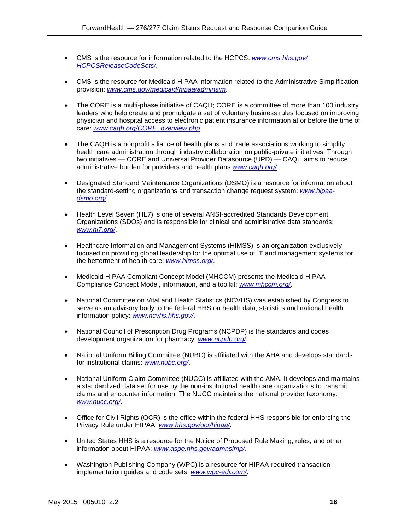- CMS is the resource for information related to the HCPCS: *[www.cms.hhs.gov/](http://www.cms.hhs.gov/HCPCSReleaseCodeSets/) [HCPCSReleaseCodeSets/](http://www.cms.hhs.gov/HCPCSReleaseCodeSets/)*.
- CMS is the resource for Medicaid HIPAA information related to the Administrative Simplification provision: *[www.cms.gov/medicaid/hipaa/adminsim](http://www.cms.gov/medicaid/hipaa/adminsim)*.
- The CORE is a multi-phase initiative of CAQH; CORE is a committee of more than 100 industry leaders who help create and promulgate a set of voluntary business rules focused on improving physician and hospital access to electronic patient insurance information at or before the time of care: *[www.caqh.org/CORE\\_overview.php](http://www.caqh.org/CORE_overview.php)*.
- The CAQH is a nonprofit alliance of health plans and trade associations working to simplify health care administration through industry collaboration on public-private initiatives. Through two initiatives — CORE and Universal Provider Datasource (UPD) — CAQH aims to reduce administrative burden for providers and health plans *[www.caqh.org/](http://www.caqh.org/)*.
- Designated Standard Maintenance Organizations (DSMO) is a resource for information about the standard-setting organizations and transaction change request system: *[www.hipaa](http://www.hipaa-dsmo.org/)[dsmo.org/](http://www.hipaa-dsmo.org/)*.
- Health Level Seven (HL7) is one of several ANSI-accredited Standards Development Organizations (SDOs) and is responsible for clinical and administrative data standards: *[www.hl7.org/](http://www.hl7.org/)*.
- Healthcare Information and Management Systems (HIMSS) is an organization exclusively focused on providing global leadership for the optimal use of IT and management systems for the betterment of health care: *[www.himss.org/](http://www.himss.org/)*.
- Medicaid HIPAA Compliant Concept Model (MHCCM) presents the Medicaid HIPAA Compliance Concept Model, information, and a toolkit: *[www.mhccm.org/](http://www.mhccm.org/)*.
- National Committee on Vital and Health Statistics (NCVHS) was established by Congress to serve as an advisory body to the federal HHS on health data, statistics and national health information policy: *[www.ncvhs.hhs.gov/](http://www.ncvhs.hhs.gov/)*.
- National Council of Prescription Drug Programs (NCPDP) is the standards and codes development organization for pharmacy: *[www.ncpdp.org/](http://www.ncpdp.org/)*.
- National Uniform Billing Committee (NUBC) is affiliated with the AHA and develops standards for institutional claims: *[www.nubc.org/](http://www.nubc.org/)*.
- National Uniform Claim Committee (NUCC) is affiliated with the AMA. It develops and maintains a standardized data set for use by the non-institutional health care organizations to transmit claims and encounter information. The NUCC maintains the national provider taxonomy: *[www.nucc.org/](http://www.nucc.org/)*.
- Office for Civil Rights (OCR) is the office within the federal HHS responsible for enforcing the Privacy Rule under HIPAA: *[www.hhs.gov/ocr/hipaa/](http://www.hhs.gov/ocr/hipaa)*.
- United States HHS is a resource for the Notice of Proposed Rule Making, rules, and other information about HIPAA: *[www.aspe.hhs.gov/admnsimp/](http://www.aspe.hhs.gov/admnsimp/)*.
- Washington Publishing Company (WPC) is a resource for HIPAA-required transaction implementation guides and code sets: *[www.wpc-edi.com/](http://www.wpc-edi.com/)*.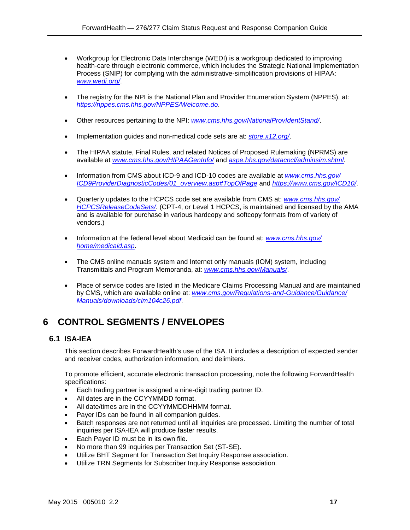- Workgroup for Electronic Data Interchange (WEDI) is a workgroup dedicated to improving health-care through electronic commerce, which includes the Strategic National Implementation Process (SNIP) for complying with the administrative-simplification provisions of HIPAA: *[www.wedi.org/](http://www.wedi.org/)*.
- The registry for the NPI is the National Plan and Provider Enumeration System (NPPES), at: *<https://nppes.cms.hhs.gov/NPPES/Welcome.do>*.
- Other resources pertaining to the NPI: *[www.cms.hhs.gov/NationalProvIdentStand/](http://www.cms.hhs.gov/NationalProvIdentStand/)*.
- Implementation guides and non-medical code sets are at: *[store.x12.org/](http://store.x12.org/)*.
- The HIPAA statute, Final Rules, and related Notices of Proposed Rulemaking (NPRMS) are available at *[www.cms.hhs.gov/HIPAAGenInfo/](http://www.cms.hhs.gov/HIPAAGenInfo/)* and *[aspe.hhs.gov/datacncl/adminsim.shtml](http://aspe.hhs.gov/datacncl/adminsim.shtml)*.
- Information from CMS about ICD-9 and ICD-10 codes are available at *[www.cms.hhs.gov/](http://www.cms.hhs.gov/ICD9ProviderDiagnosticCodes/01_overview.asp%23TopOfPage) [ICD9ProviderDiagnosticCodes/01\\_overview.asp#TopOfPage](http://www.cms.hhs.gov/ICD9ProviderDiagnosticCodes/01_overview.asp%23TopOfPage)* and *<https://www.cms.gov/ICD10/>*.
- Quarterly updates to the HCPCS code set are available from CMS at: *[www.cms.hhs.gov/](http://www.cms.hhs.gov/HCPCSReleaseCodeSets/) [HCPCSReleaseCodeSets/](http://www.cms.hhs.gov/HCPCSReleaseCodeSets/)*. (CPT-4, or Level 1 HCPCS, is maintained and licensed by the AMA and is available for purchase in various hardcopy and softcopy formats from of variety of vendors.)
- Information at the federal level about Medicaid can be found at: *[www.cms.hhs.gov/](http://www.cms.hhs.gov/home/medicaid.asp) [home/medicaid.asp](http://www.cms.hhs.gov/home/medicaid.asp)*.
- The CMS online manuals system and Internet only manuals (IOM) system, including Transmittals and Program Memoranda, at: *[www.cms.hhs.gov/Manuals/](http://www.cms.hhs.gov/Manuals/)*.
- Place of service codes are listed in the Medicare Claims Processing Manual and are maintained by CMS, which are available online at: *[www.cms.gov/Regulations-and-Guidance/Guidance/](http://www.cms.gov/Regulations-and-Guidance/Guidance/Manuals/downloads/clm104c26.pdf) [Manuals/downloads/clm104c26.pdf](http://www.cms.gov/Regulations-and-Guidance/Guidance/Manuals/downloads/clm104c26.pdf)*.

# <span id="page-16-0"></span>**6 CONTROL SEGMENTS / ENVELOPES**

# <span id="page-16-1"></span>**6.1 ISA-IEA**

This section describes ForwardHealth's use of the ISA. It includes a description of expected sender and receiver codes, authorization information, and delimiters.

To promote efficient, accurate electronic transaction processing, note the following ForwardHealth specifications:

- Each trading partner is assigned a nine-digit trading partner ID.
- All dates are in the CCYYMMDD format.
- All date/times are in the CCYYMMDDHHMM format.
- Payer IDs can be found in all companion guides.
- Batch responses are not returned until all inquiries are processed. Limiting the number of total inquiries per ISA-IEA will produce faster results.
- Each Payer ID must be in its own file.
- No more than 99 inquiries per Transaction Set (ST-SE).
- Utilize BHT Segment for Transaction Set Inquiry Response association.
- Utilize TRN Segments for Subscriber Inquiry Response association.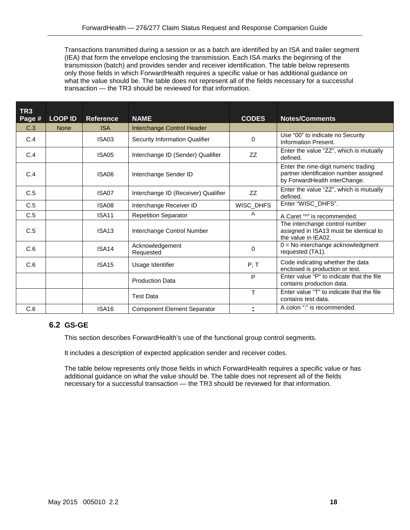Transactions transmitted during a session or as a batch are identified by an ISA and trailer segment (IEA) that form the envelope enclosing the transmission. Each ISA marks the beginning of the transmission (batch) and provides sender and receiver identification. The table below represents only those fields in which ForwardHealth requires a specific value or has additional guidance on what the value should be. The table does not represent all of the fields necessary for a successful transaction — the TR3 should be reviewed for that information.

| TR <sub>3</sub><br>Page # | <b>LOOP ID</b> | <b>Reference</b>  | <b>NAME</b>                         | <b>CODES</b> | <b>Notes/Comments</b>                                                                                           |
|---------------------------|----------------|-------------------|-------------------------------------|--------------|-----------------------------------------------------------------------------------------------------------------|
| C.3                       | <b>None</b>    | <b>ISA</b>        | Interchange Control Header          |              |                                                                                                                 |
| C.4                       |                | ISA03             | Security Information Qualifier      | $\Omega$     | Use "00" to indicate no Security<br>Information Present.                                                        |
| C.4                       |                | <b>ISA05</b>      | Interchange ID (Sender) Qualifier   | ZZ           | Enter the value "ZZ", which is mutually<br>defined.                                                             |
| C.4                       |                | ISA06             | Interchange Sender ID               |              | Enter the nine-digit numeric trading<br>partner identification number assigned<br>by ForwardHealth interChange. |
| C.5                       |                | ISA07             | Interchange ID (Receiver) Qualifier | ZZ           | Enter the value "ZZ", which is mutually<br>defined.                                                             |
| C.5                       |                | ISA08             | Interchange Receiver ID             | WISC_DHFS    | Enter "WISC_DHFS".                                                                                              |
| C.5                       |                | <b>ISA11</b>      | <b>Repetition Separator</b>         | $\wedge$     | A Caret "^" is recommended.                                                                                     |
| C.5                       |                | ISA <sub>13</sub> | Interchange Control Number          |              | The interchange control number<br>assigned in ISA13 must be identical to<br>the value in IEA02.                 |
| C.6                       |                | ISA <sub>14</sub> | Acknowledgement<br>Requested        | 0            | $0 = No$ interchange acknowledgment<br>requested (TA1).                                                         |
| C.6                       |                | <b>ISA15</b>      | Usage Identifier                    | P, T         | Code indicating whether the data<br>enclosed is production or test.                                             |
|                           |                |                   | <b>Production Data</b>              | P            | Enter value "P" to indicate that the file<br>contains production data.                                          |
|                           |                |                   | <b>Test Data</b>                    | T.           | Enter value "T" to indicate that the file<br>contains test data.                                                |
| C.6                       |                | <b>ISA16</b>      | <b>Component Element Separator</b>  |              | A colon ":" is recommended.                                                                                     |

# <span id="page-17-0"></span>**6.2 GS-GE**

This section describes ForwardHealth's use of the functional group control segments.

It includes a description of expected application sender and receiver codes.

The table below represents only those fields in which ForwardHealth requires a specific value or has additional guidance on what the value should be. The table does not represent all of the fields necessary for a successful transaction — the TR3 should be reviewed for that information.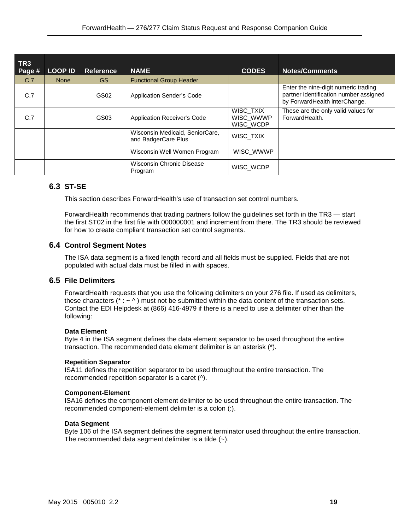| TR <sub>3</sub><br>Page # | <b>LOOP ID</b> | <b>Reference</b> | <b>NAME</b>                                            | <b>CODES</b>                        | <b>Notes/Comments</b>                                                                                           |
|---------------------------|----------------|------------------|--------------------------------------------------------|-------------------------------------|-----------------------------------------------------------------------------------------------------------------|
| C.7                       | <b>None</b>    | GS.              | <b>Functional Group Header</b>                         |                                     |                                                                                                                 |
| C.7                       |                | GS02             | Application Sender's Code                              |                                     | Enter the nine-digit numeric trading<br>partner identification number assigned<br>by ForwardHealth interChange. |
| C.7                       |                | GS03             | Application Receiver's Code                            | WISC TXIX<br>WISC WWWP<br>WISC WCDP | These are the only valid values for<br>ForwardHealth.                                                           |
|                           |                |                  | Wisconsin Medicaid, SeniorCare,<br>and BadgerCare Plus | WISC_TXIX                           |                                                                                                                 |
|                           |                |                  | Wisconsin Well Women Program                           | WISC WWWP                           |                                                                                                                 |
|                           |                |                  | Wisconsin Chronic Disease<br>Program                   | WISC WCDP                           |                                                                                                                 |

# <span id="page-18-0"></span>**6.3 ST-SE**

This section describes ForwardHealth's use of transaction set control numbers.

ForwardHealth recommends that trading partners follow the guidelines set forth in the TR3 — start the first ST02 in the first file with 000000001 and increment from there. The TR3 should be reviewed for how to create compliant transaction set control segments.

## <span id="page-18-1"></span>**6.4 Control Segment Notes**

The ISA data segment is a fixed length record and all fields must be supplied. Fields that are not populated with actual data must be filled in with spaces.

## <span id="page-18-2"></span>**6.5 File Delimiters**

ForwardHealth requests that you use the following delimiters on your 276 file. If used as delimiters, these characters  $(* : \neg \land)$  must not be submitted within the data content of the transaction sets. Contact the EDI Helpdesk at (866) 416-4979 if there is a need to use a delimiter other than the following:

### **Data Element**

Byte 4 in the ISA segment defines the data element separator to be used throughout the entire transaction. The recommended data element delimiter is an asterisk (\*).

#### **Repetition Separator**

ISA11 defines the repetition separator to be used throughout the entire transaction. The recommended repetition separator is a caret (^).

#### **Component-Element**

ISA16 defines the component element delimiter to be used throughout the entire transaction. The recommended component-element delimiter is a colon (:).

#### **Data Segment**

Byte 106 of the ISA segment defines the segment terminator used throughout the entire transaction. The recommended data segment delimiter is a tilde  $(-)$ .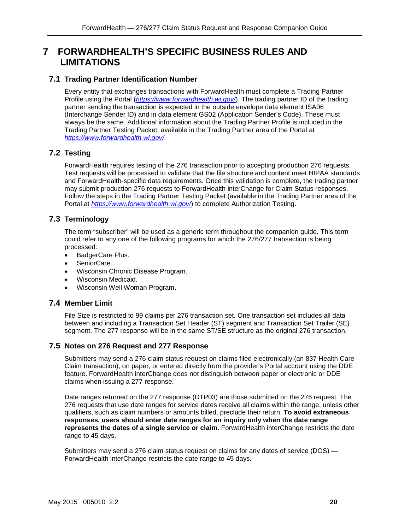# <span id="page-19-0"></span>**7 FORWARDHEALTH'S SPECIFIC BUSINESS RULES AND LIMITATIONS**

# <span id="page-19-1"></span>**7.1 Trading Partner Identification Number**

Every entity that exchanges transactions with ForwardHealth must complete a Trading Partner Profile using the Portal (*<https://www.forwardhealth.wi.gov/>*). The trading partner ID of the trading partner sending the transaction is expected in the outside envelope data element ISA06 (Interchange Sender ID) and in data element GS02 (Application Sender's Code). These must always be the same. Additional information about the Trading Partner Profile is included in the Trading Partner Testing Packet, available in the Trading Partner area of the Portal at *<https://www.forwardhealth.wi.gov/>*.

# <span id="page-19-2"></span>**7.2 Testing**

ForwardHealth requires testing of the 276 transaction prior to accepting production 276 requests. Test requests will be processed to validate that the file structure and content meet HIPAA standards and ForwardHealth-specific data requirements. Once this validation is complete, the trading partner may submit production 276 requests to ForwardHealth interChange for Claim Status responses. Follow the steps in the Trading Partner Testing Packet (available in the Trading Partner area of the Portal at *<https://www.forwardhealth.wi.gov/>*) to complete Authorization Testing.

# <span id="page-19-3"></span>**7.3 Terminology**

The term "subscriber" will be used as a generic term throughout the companion guide. This term could refer to any one of the following programs for which the 276/277 transaction is being processed:

- BadgerCare Plus.
- SeniorCare.
- Wisconsin Chronic Disease Program.
- Wisconsin Medicaid.
- Wisconsin Well Woman Program.

## <span id="page-19-4"></span>**7.4 Member Limit**

File Size is restricted to 99 claims per 276 transaction set. One transaction set includes all data between and including a Transaction Set Header (ST) segment and Transaction Set Trailer (SE) segment. The 277 response will be in the same ST/SE structure as the original 276 transaction.

## <span id="page-19-5"></span>**7.5 Notes on 276 Request and 277 Response**

Submitters may send a 276 claim status request on claims filed electronically (an 837 Health Care Claim transaction), on paper, or entered directly from the provider's Portal account using the DDE feature. ForwardHealth interChange does not distinguish between paper or electronic or DDE claims when issuing a 277 response.

Date ranges returned on the 277 response (DTP03) are those submitted on the 276 request. The 276 requests that use date ranges for service dates receive all claims within the range, unless other qualifiers, such as claim numbers or amounts billed, preclude their return. **To avoid extraneous responses, users should enter date ranges for an inquiry only when the date range represents the dates of a single service or claim.** ForwardHealth interChange restricts the date range to 45 days.

Submitters may send a 276 claim status request on claims for any dates of service (DOS) — ForwardHealth interChange restricts the date range to 45 days.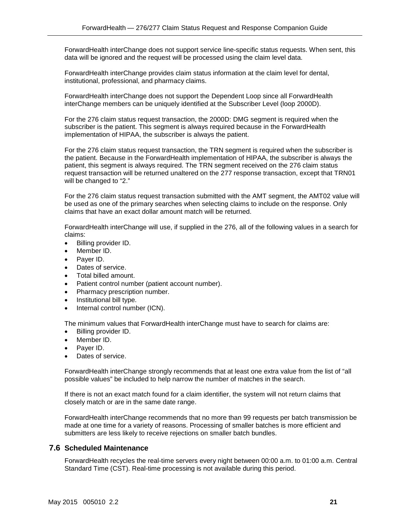ForwardHealth interChange does not support service line-specific status requests. When sent, this data will be ignored and the request will be processed using the claim level data.

ForwardHealth interChange provides claim status information at the claim level for dental, institutional, professional, and pharmacy claims.

ForwardHealth interChange does not support the Dependent Loop since all ForwardHealth interChange members can be uniquely identified at the Subscriber Level (loop 2000D).

For the 276 claim status request transaction, the 2000D: DMG segment is required when the subscriber is the patient. This segment is always required because in the ForwardHealth implementation of HIPAA, the subscriber is always the patient.

For the 276 claim status request transaction, the TRN segment is required when the subscriber is the patient. Because in the ForwardHealth implementation of HIPAA, the subscriber is always the patient, this segment is always required. The TRN segment received on the 276 claim status request transaction will be returned unaltered on the 277 response transaction, except that TRN01 will be changed to "2."

For the 276 claim status request transaction submitted with the AMT segment, the AMT02 value will be used as one of the primary searches when selecting claims to include on the response. Only claims that have an exact dollar amount match will be returned.

ForwardHealth interChange will use, if supplied in the 276, all of the following values in a search for claims:

- Billing provider ID.
- Member ID.
- Paver ID.
- Dates of service.
- Total billed amount.
- Patient control number (patient account number).
- Pharmacy prescription number.
- Institutional bill type.
- Internal control number (ICN).

The minimum values that ForwardHealth interChange must have to search for claims are:

- Billing provider ID.
- Member ID.
- Payer ID.
- Dates of service.

ForwardHealth interChange strongly recommends that at least one extra value from the list of "all possible values" be included to help narrow the number of matches in the search.

If there is not an exact match found for a claim identifier, the system will not return claims that closely match or are in the same date range.

ForwardHealth interChange recommends that no more than 99 requests per batch transmission be made at one time for a variety of reasons. Processing of smaller batches is more efficient and submitters are less likely to receive rejections on smaller batch bundles.

## <span id="page-20-0"></span>**7.6 Scheduled Maintenance**

ForwardHealth recycles the real-time servers every night between 00:00 a.m. to 01:00 a.m. Central Standard Time (CST). Real-time processing is not available during this period.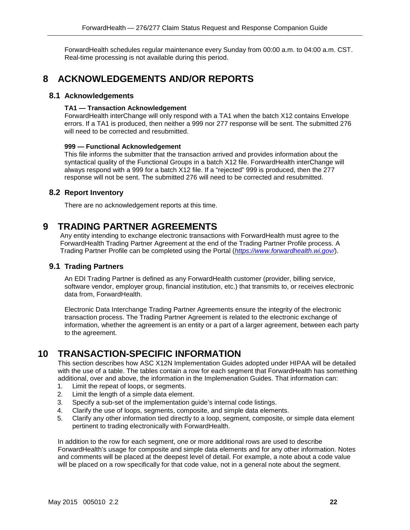ForwardHealth schedules regular maintenance every Sunday from 00:00 a.m. to 04:00 a.m. CST. Real-time processing is not available during this period.

# <span id="page-21-0"></span>**8 ACKNOWLEDGEMENTS AND/OR REPORTS**

### <span id="page-21-1"></span>**8.1 Acknowledgements**

### **TA1 — Transaction Acknowledgement**

ForwardHealth interChange will only respond with a TA1 when the batch X12 contains Envelope errors. If a TA1 is produced, then neither a 999 nor 277 response will be sent. The submitted 276 will need to be corrected and resubmitted.

### **999 — Functional Acknowledgement**

This file informs the submitter that the transaction arrived and provides information about the syntactical quality of the Functional Groups in a batch X12 file. ForwardHealth interChange will always respond with a 999 for a batch X12 file. If a "rejected" 999 is produced, then the 277 response will not be sent. The submitted 276 will need to be corrected and resubmitted.

### <span id="page-21-2"></span>**8.2 Report Inventory**

There are no acknowledgement reports at this time.

# <span id="page-21-3"></span>**9 TRADING PARTNER AGREEMENTS**

Any entity intending to exchange electronic transactions with ForwardHealth must agree to the ForwardHealth Trading Partner Agreement at the end of the Trading Partner Profile process. A Trading Partner Profile can be completed using the Portal (*<https://www.forwardhealth.wi.gov/>*).

### <span id="page-21-4"></span>**9.1 Trading Partners**

An EDI Trading Partner is defined as any ForwardHealth customer (provider, billing service, software vendor, employer group, financial institution, etc.) that transmits to, or receives electronic data from, ForwardHealth.

Electronic Data Interchange Trading Partner Agreements ensure the integrity of the electronic transaction process. The Trading Partner Agreement is related to the electronic exchange of information, whether the agreement is an entity or a part of a larger agreement, between each party to the agreement.

# <span id="page-21-5"></span>**10 TRANSACTION-SPECIFIC INFORMATION**

This section describes how ASC X12N Implementation Guides adopted under HIPAA will be detailed with the use of a table. The tables contain a row for each segment that ForwardHealth has something additional, over and above, the information in the Implemenation Guides. That information can:

- 1. Limit the repeat of loops, or segments.
- 2. Limit the length of a simple data element.
- 3. Specify a sub-set of the implementation guide's internal code listings.
- 4. Clarify the use of loops, segments, composite, and simple data elements.
- 5. Clarify any other information tied directly to a loop, segment, composite, or simple data element pertinent to trading electronically with ForwardHealth.

In addition to the row for each segment, one or more additional rows are used to describe ForwardHealth's usage for composite and simple data elements and for any other information. Notes and comments will be placed at the deepest level of detail. For example, a note about a code value will be placed on a row specifically for that code value, not in a general note about the segment.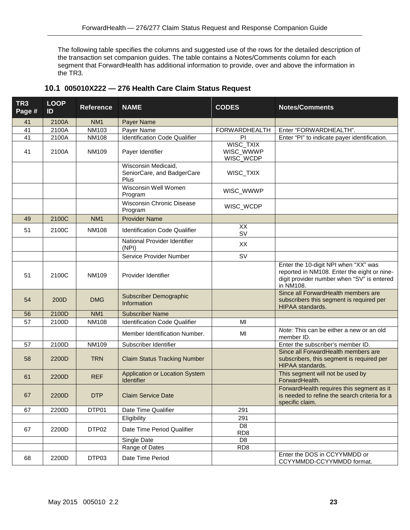The following table specifies the columns and suggested use of the rows for the detailed description of the transaction set companion guides. The table contains a Notes/Comments column for each segment that ForwardHealth has additional information to provide, over and above the information in the TR3.

| TR <sub>3</sub><br>Page # | <b>LOOP</b><br>ID | <b>Reference</b> | <b>NAME</b>                                               | <b>CODES</b>                        | <b>Notes/Comments</b>                                                                                                                          |
|---------------------------|-------------------|------------------|-----------------------------------------------------------|-------------------------------------|------------------------------------------------------------------------------------------------------------------------------------------------|
| 41                        | 2100A             | NM <sub>1</sub>  | Payer Name                                                |                                     |                                                                                                                                                |
| 41                        | 2100A             | <b>NM103</b>     | Payer Name                                                | <b>FORWARDHEALTH</b>                | Enter "FORWARDHEALTH".                                                                                                                         |
| 41                        | 2100A             | <b>NM108</b>     | <b>Identification Code Qualifier</b>                      | P                                   | Enter "Pl" to indicate payer identification.                                                                                                   |
| 41                        | 2100A             | NM109            | Payer Identifier                                          | WISC_TXIX<br>WISC_WWWP<br>WISC_WCDP |                                                                                                                                                |
|                           |                   |                  | Wisconsin Medicaid,<br>SeniorCare, and BadgerCare<br>Plus | WISC_TXIX                           |                                                                                                                                                |
|                           |                   |                  | Wisconsin Well Women<br>Program                           | WISC_WWWP                           |                                                                                                                                                |
|                           |                   |                  | <b>Wisconsin Chronic Disease</b><br>Program               | WISC_WCDP                           |                                                                                                                                                |
| 49                        | 2100C             | NM <sub>1</sub>  | <b>Provider Name</b>                                      |                                     |                                                                                                                                                |
| 51                        | 2100C             | <b>NM108</b>     | <b>Identification Code Qualifier</b>                      | $\overline{XX}$<br>SV               |                                                                                                                                                |
|                           |                   |                  | National Provider Identifier<br>(NPI)                     | XX                                  |                                                                                                                                                |
|                           |                   |                  | Service Provider Number                                   | <b>SV</b>                           |                                                                                                                                                |
| 51                        | 2100C             | NM109            | Provider Identifier                                       |                                     | Enter the 10-digit NPI when "XX" was<br>reported in NM108. Enter the eight or nine-<br>digit provider number when "SV" is entered<br>in NM108. |
| 54                        | 200D              | <b>DMG</b>       | Subscriber Demographic<br>Information                     |                                     | Since all ForwardHealth members are<br>subscribers this segment is required per<br><b>HIPAA</b> standards.                                     |
| 56                        | 2100D             | NM <sub>1</sub>  | <b>Subscriber Name</b>                                    |                                     |                                                                                                                                                |
| 57                        | 2100D             | <b>NM108</b>     | <b>Identification Code Qualifier</b>                      | MI                                  |                                                                                                                                                |
|                           |                   |                  | Member Identification Number.                             | MI                                  | Note: This can be either a new or an old<br>member ID.                                                                                         |
| 57                        | 2100D             | <b>NM109</b>     | Subscriber Identifier                                     |                                     | Enter the subscriber's member ID.                                                                                                              |
| 58                        | 2200D             | <b>TRN</b>       | <b>Claim Status Tracking Number</b>                       |                                     | Since all ForwardHealth members are<br>subscribers, this segment is required per<br>HIPAA standards.                                           |
| 61                        | 2200D             | <b>REF</b>       | Application or Location System<br>Identifier              |                                     | This segment will not be used by<br>ForwardHealth.                                                                                             |
| 67                        | 2200D             | <b>DTP</b>       | <b>Claim Service Date</b>                                 |                                     | ForwardHealth requires this segment as it<br>is needed to refine the search criteria for a<br>specific claim.                                  |
| 67                        | 2200D             | DTP01            | Date Time Qualifier                                       | 291                                 |                                                                                                                                                |
|                           |                   |                  | Eligibility                                               | 291                                 |                                                                                                                                                |
| 67                        | 2200D             | DTP02            | Date Time Period Qualifier                                | D <sub>8</sub><br>RD <sub>8</sub>   |                                                                                                                                                |
|                           |                   |                  | Single Date                                               | D <sub>8</sub>                      |                                                                                                                                                |
|                           |                   |                  | Range of Dates                                            | RD <sub>8</sub>                     |                                                                                                                                                |
| 68                        | 2200D             | DTP03            | Date Time Period                                          |                                     | Enter the DOS in CCYYMMDD or<br>CCYYMMDD-CCYYMMDD format.                                                                                      |

# <span id="page-22-0"></span>**10.1 005010X222 — 276 Health Care Claim Status Request**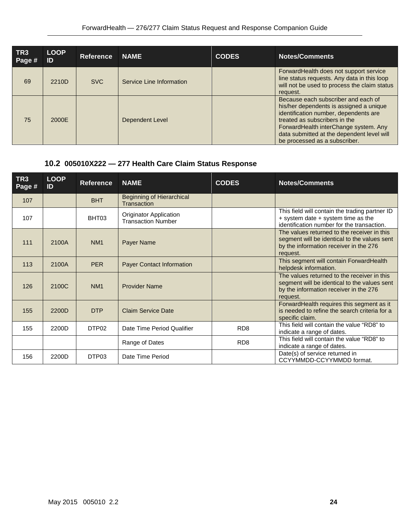| TR <sub>3</sub><br>Page # | <b>LOOP</b><br>ID | <b>Reference</b> | <b>NAME</b>              | <b>CODES</b> | <b>Notes/Comments</b>                                                                                                                                                                                                                                                            |
|---------------------------|-------------------|------------------|--------------------------|--------------|----------------------------------------------------------------------------------------------------------------------------------------------------------------------------------------------------------------------------------------------------------------------------------|
| 69                        | 2210D             | <b>SVC</b>       | Service Line Information |              | Forward Health does not support service<br>line status requests. Any data in this loop<br>will not be used to process the claim status<br>request.                                                                                                                               |
| 75                        | 2000E             |                  | Dependent Level          |              | Because each subscriber and each of<br>his/her dependents is assigned a unique<br>identification number, dependents are<br>treated as subscribers in the<br>ForwardHealth interChange system. Any<br>data submitted at the dependent level will<br>be processed as a subscriber. |

# <span id="page-23-0"></span>**10.2 005010X222 — 277 Health Care Claim Status Response**

| TR <sub>3</sub><br>Page # | <b>LOOP</b><br>ID | <b>Reference</b> | <b>NAME</b>                                                | <b>CODES</b>    | <b>Notes/Comments</b>                                                                                                                             |
|---------------------------|-------------------|------------------|------------------------------------------------------------|-----------------|---------------------------------------------------------------------------------------------------------------------------------------------------|
| 107                       |                   | <b>BHT</b>       | <b>Beginning of Hierarchical</b><br>Transaction            |                 |                                                                                                                                                   |
| 107                       |                   | BHT03            | <b>Originator Application</b><br><b>Transaction Number</b> |                 | This field will contain the trading partner ID<br>+ system date + system time as the<br>identification number for the transaction.                |
| 111                       | 2100A             | NM <sub>1</sub>  | Payer Name                                                 |                 | The values returned to the receiver in this<br>segment will be identical to the values sent<br>by the information receiver in the 276<br>request. |
| 113                       | 2100A             | <b>PER</b>       | <b>Payer Contact Information</b>                           |                 | This segment will contain ForwardHealth<br>helpdesk information.                                                                                  |
| 126                       | 2100C             | NM <sub>1</sub>  | <b>Provider Name</b>                                       |                 | The values returned to the receiver in this<br>segment will be identical to the values sent<br>by the information receiver in the 276<br>request. |
| 155                       | 2200D             | <b>DTP</b>       | <b>Claim Service Date</b>                                  |                 | Forward Health requires this segment as it<br>is needed to refine the search criteria for a<br>specific claim.                                    |
| 155                       | 2200D             | DTP02            | Date Time Period Qualifier                                 | RD <sub>8</sub> | This field will contain the value "RD8" to<br>indicate a range of dates.                                                                          |
|                           |                   |                  | Range of Dates                                             | RD <sub>8</sub> | This field will contain the value "RD8" to<br>indicate a range of dates.                                                                          |
| 156                       | 2200D             | DTP03            | Date Time Period                                           |                 | Date(s) of service returned in<br>CCYYMMDD-CCYYMMDD format.                                                                                       |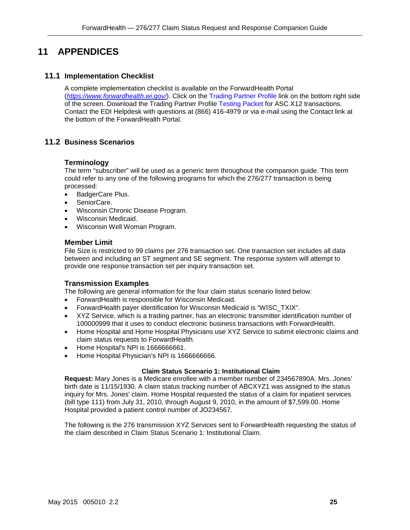# <span id="page-24-0"></span>**11 APPENDICES**

## <span id="page-24-1"></span>**11.1 Implementation Checklist**

A complete implementation checklist is available on the ForwardHealth Portal (*<https://www.forwardhealth.wi.gov/>*). Click on the Trading Partner Profile link on the bottom right side of the screen. Download the Trading Partner Profile Testing Packet for ASC X12 transactions. Contact the EDI Helpdesk with questions at (866) 416-4979 or via e-mail using the Contact link at the bottom of the ForwardHealth Portal.

# <span id="page-24-2"></span>**11.2 Business Scenarios**

### **Terminology**

The term "subscriber" will be used as a generic term throughout the companion guide. This term could refer to any one of the following programs for which the 276/277 transaction is being processed:

- BadgerCare Plus.
- SeniorCare.
- Wisconsin Chronic Disease Program.
- Wisconsin Medicaid.
- Wisconsin Well Woman Program.

### **Member Limit**

File Size is restricted to 99 claims per 276 transaction set. One transaction set includes all data between and including an ST segment and SE segment. The response system will attempt to provide one response transaction set per inquiry transaction set.

## **Transmission Examples**

The following are general information for the four claim status scenario listed below:

- ForwardHealth is responsible for Wisconsin Medicaid.
- ForwardHealth payer identification for Wisconsin Medicaid is "WISC\_TXIX".
- XYZ Service, which is a trading partner, has an electronic transmitter identification number of 100000999 that it uses to conduct electronic business transactions with ForwardHealth.
- Home Hospital and Home Hospital Physicians use XYZ Service to submit electronic claims and claim status requests to ForwardHealth.
- Home Hospital's NPI is 1666666661.
- Home Hospital Physician's NPI is 1666666666.

### **Claim Status Scenario 1: Institutional Claim**

**Request:** Mary Jones is a Medicare enrollee with a member number of 234567890A. Mrs. Jones' birth date is 11/15/1930. A claim status tracking number of ABCXYZ1 was assigned to the status inquiry for Mrs. Jones' claim. Home Hospital requested the status of a claim for inpatient services (bill type 111) from July 31, 2010, through August 9, 2010, in the amount of \$7,599.00. Home Hospital provided a patient control number of JO234567.

The following is the 276 transmission XYZ Services sent to ForwardHealth requesting the status of the claim described in Claim Status Scenario 1: Institutional Claim.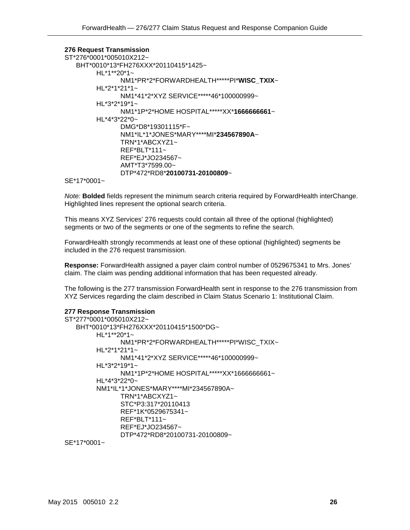#### **276 Request Transmission**

```
ST*276*0001*005010X212~
BHT*0010*13*FH276XXX*20110415*1425~
    HL*1**20*1~
           NM1*PR*2*FORWARDHEALTH*****PI*WISC_TXIX~
    HL*2*1*21*1~
           NM1*41*2*XYZ SERVICE*****46*100000999~
    HL*3*2*19*1~
           NM1*1P*2*HOME HOSPITAL*****XX*1666666661~
    HL*4*3*22*0~
           DMG*D8*19301115*F~
           NM1*IL*1*JONES*MARY****MI*234567890A~
           TRN*1*ABCXYZ1~
           REF*BLT*111~
           REF*EJ*JO234567~
           AMT*T3*7599.00~ 
           DTP*472*RD8*20100731-20100809~
```
SE\*17\*0001~

*Note:* **Bolded** fields represent the minimum search criteria required by ForwardHealth interChange. Highlighted lines represent the optional search criteria.

This means XYZ Services' 276 requests could contain all three of the optional (highlighted) segments or two of the segments or one of the segments to refine the search.

ForwardHealth strongly recommends at least one of these optional (highlighted) segments be included in the 276 request transmission.

**Response:** ForwardHealth assigned a payer claim control number of 0529675341 to Mrs. Jones' claim. The claim was pending additional information that has been requested already.

The following is the 277 transmission ForwardHealth sent in response to the 276 transmission from XYZ Services regarding the claim described in Claim Status Scenario 1: Institutional Claim.

#### **277 Response Transmission** ST\*277\*0001\*005010X212~

```
 BHT*0010*13*FH276XXX*20110415*1500*DG~
 HL*1**20*1~
        NM1*PR*2*FORWARDHEALTH*****PI*WISC_TXIX~
 HL*2*1*21*1~
        NM1*41*2*XYZ SERVICE*****46*100000999~
 HL*3*2*19*1~
        NM1*1P*2*HOME HOSPITAL*****XX*1666666661~
 HL*4*3*22*0~
 NM1*IL*1*JONES*MARY****MI*234567890A~
        TRN*1*ABCXYZ1~
        STC*P3:317*20110413
        REF*1K*0529675341~
        REF*BLT*111~
        REF*EJ*JO234567~
        DTP*472*RD8*20100731-20100809~
```
SE\*17\*0001~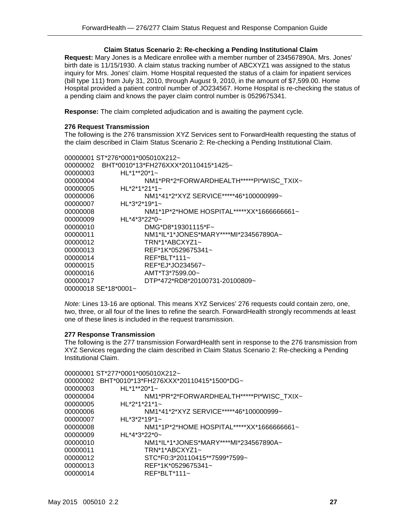### **Claim Status Scenario 2: Re-checking a Pending Institutional Claim**

**Request:** Mary Jones is a Medicare enrollee with a member number of 234567890A. Mrs. Jones' birth date is 11/15/1930. A claim status tracking number of ABCXYZ1 was assigned to the status inquiry for Mrs. Jones' claim. Home Hospital requested the status of a claim for inpatient services (bill type 111) from July 31, 2010, through August 9, 2010, in the amount of \$7,599.00. Home Hospital provided a patient control number of JO234567. Home Hospital is re-checking the status of a pending claim and knows the payer claim control number is 0529675341.

**Response:** The claim completed adjudication and is awaiting the payment cycle.

### **276 Request Transmission**

The following is the 276 transmission XYZ Services sent to ForwardHealth requesting the status of the claim described in Claim Status Scenario 2: Re-checking a Pending Institutional Claim.

|          | 00000001 ST*276*0001*005010X212~ |                                              |
|----------|----------------------------------|----------------------------------------------|
|          |                                  | 00000002 BHT*0010*13*FH276XXX*20110415*1425~ |
| 00000003 | $HL^*1^{**}20^{*}1$ ~            |                                              |
| 00000004 |                                  | NM1*PR*2*FORWARDHEALTH*****PI*WISC_TXIX~     |
| 00000005 | $HL$ *2*1*21*1~                  |                                              |
| 00000006 |                                  | NM1*41*2*XYZ SERVICE*****46*100000999~       |
| 00000007 | $HL$ *3*2*19*1~                  |                                              |
| 00000008 |                                  | NM1*1P*2*HOME HOSPITAL*****XX*1666666661~    |
| 00000009 | $HL^*4^*3^*22^*0$ ~              |                                              |
| 00000010 |                                  | $DMG^*D8^*19301115^*F$ ~                     |
| 00000011 |                                  | NM1*IL*1*JONES*MARY****MI*234567890A~        |
| 00000012 |                                  | $TRN^*1^*ABCXYZ1$ ~                          |
| 00000013 |                                  | REF*1K*0529675341~                           |
| 00000014 |                                  | $REF*BLT*111-$                               |
| 00000015 |                                  | REF*EJ*JO234567~                             |
| 00000016 |                                  | AMT*T3*7599.00~                              |
| 00000017 |                                  | DTP*472*RD8*20100731-20100809~               |
|          | 00000018 SE*18*0001~             |                                              |

*Note:* Lines 13-16 are optional. This means XYZ Services' 276 requests could contain zero, one, two, three, or all four of the lines to refine the search. ForwardHealth strongly recommends at least one of these lines is included in the request transmission.

### **277 Response Transmission**

The following is the 277 transmission ForwardHealth sent in response to the 276 transmission from XYZ Services regarding the claim described in Claim Status Scenario 2: Re-checking a Pending Institutional Claim.

|          | 00000001 ST*277*0001*005010X212~                |
|----------|-------------------------------------------------|
|          | 00000002 BHT*0010*13*FH276XXX*20110415*1500*DG~ |
| 00000003 | $HL^*1^{**}20^{*}1$ ~                           |
| 00000004 | NM1*PR*2*FORWARDHEALTH*****PI*WISC TXIX~        |
| 00000005 | $HL^*2^*1^*21^*1$                               |
| 00000006 | NM1*41*2*XYZ SERVICE*****46*100000999~          |
| 00000007 | $HL$ *3*2*19*1~                                 |
| 00000008 | NM1*1P*2*HOME HOSPITAL*****XX*1666666661~       |
| 00000009 | $HL^*4^*3^*22^*0$ ~                             |
| 00000010 | NM1*IL*1*JONES*MARY****MI*234567890A~           |
| 00000011 | TRN*1*ABCXYZ1~                                  |
| 00000012 | STC*F0:3*20110415**7599*7599~                   |
| 00000013 | REF*1K*0529675341~                              |
| 00000014 | $REF*BLT*111-$                                  |
|          |                                                 |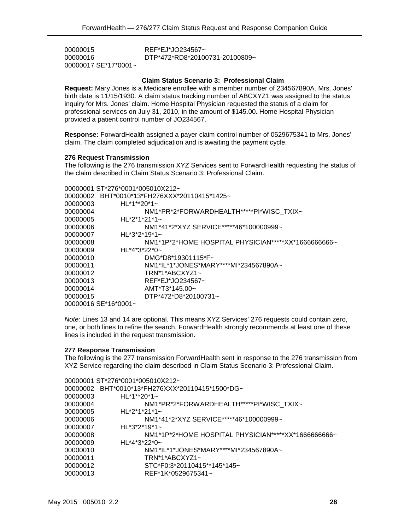00000015 REF\*EJ\*JO234567~ 00000016 DTP\*472\*RD8\*20100731-20100809~ 00000017 SE\*17\*0001~

### **Claim Status Scenario 3: Professional Claim**

**Request:** Mary Jones is a Medicare enrollee with a member number of 234567890A. Mrs. Jones' birth date is 11/15/1930. A claim status tracking number of ABCXYZ1 was assigned to the status inquiry for Mrs. Jones' claim. Home Hospital Physician requested the status of a claim for professional services on July 31, 2010, in the amount of \$145.00. Home Hospital Physician provided a patient control number of JO234567.

**Response:** ForwardHealth assigned a payer claim control number of 0529675341 to Mrs. Jones' claim. The claim completed adjudication and is awaiting the payment cycle.

### **276 Request Transmission**

The following is the 276 transmission XYZ Services sent to ForwardHealth requesting the status of the claim described in Claim Status Scenario 3: Professional Claim.

|          | 00000001 ST*276*0001*005010X212~             |
|----------|----------------------------------------------|
|          | 00000002 BHT*0010*13*FH276XXX*20110415*1425~ |
| 00000003 | $HL^*1^{**}20^{*}1$ ~                        |
| 00000004 | NM1*PR*2*FORWARDHEALTH*****PI*WISC TXIX~     |
| 00000005 | $HL$ *2*1*21*1~                              |
| 00000006 | NM1*41*2*XYZ SERVICE*****46*100000999~       |
| 00000007 | $HL^*3^*2^*19^*1$ ~                          |
| 00000008 |                                              |
| 00000009 | $HL^*4^*3^*22^*0$ ~                          |
| 00000010 | DMG*D8*19301115*F~                           |
| 00000011 | NM1*IL*1*JONES*MARY****MI*234567890A~        |
| 00000012 | TRN*1*ABCXYZ1~                               |
| 00000013 | REF*EJ*JO234567~                             |
| 00000014 | $AMT^*T3^*145.00-$                           |
| 00000015 | DTP*472*D8*20100731~                         |
|          | 00000016 SE*16*0001~                         |

*Note:* Lines 13 and 14 are optional. This means XYZ Services' 276 requests could contain zero, one, or both lines to refine the search. ForwardHealth strongly recommends at least one of these lines is included in the request transmission.

#### **277 Response Transmission**

The following is the 277 transmission ForwardHealth sent in response to the 276 transmission from XYZ Service regarding the claim described in Claim Status Scenario 3: Professional Claim.

|          | 00000001 ST*276*0001*005010X212~                |
|----------|-------------------------------------------------|
|          | 00000002 BHT*0010*13*FH276XXX*20110415*1500*DG~ |
| 00000003 | $HL^*1^{**}20^{*}1$ ~                           |
| 00000004 | NM1*PR*2*FORWARDHEALTH*****PI*WISC TXIX~        |
| 00000005 | $HL^*2^*1^*21^*1$                               |
| 00000006 | NM1*41*2*XYZ SERVICE*****46*100000999~          |
| 00000007 | $HL$ *3*2*19*1~                                 |
| 00000008 |                                                 |
| 00000009 | $HL^*4^*3^*22^*0$ ~                             |
| 00000010 | NM1*IL*1*JONES*MARY****MI*234567890A~           |
| 00000011 | TRN*1*ABCXYZ1~                                  |
| 00000012 | STC*F0:3*20110415**145*145~                     |
| 00000013 | REF*1K*0529675341~                              |
|          |                                                 |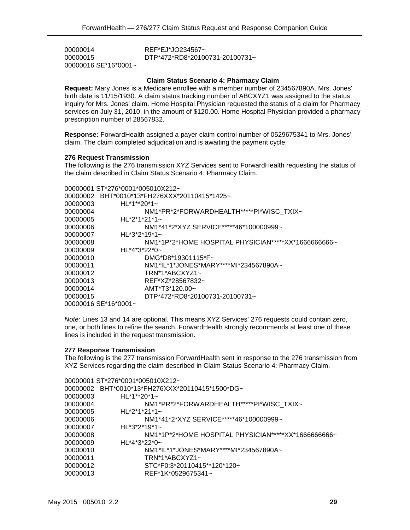00000014 REF\*EJ\*JO234567~ 00000015 DTP\*472\*RD8\*20100731-20100731~ 00000016 SE\*16\*0001~

### **Claim Status Scenario 4: Pharmacy Claim**

**Request:** Mary Jones is a Medicare enrollee with a member number of 234567890A. Mrs. Jones' birth date is 11/15/1930. A claim status tracking number of ABCXYZ1 was assigned to the status inquiry for Mrs. Jones' claim. Home Hospital Physician requested the status of a claim for Pharmacy services on July 31, 2010, in the amount of \$120.00. Home Hospital Physician provided a pharmacy prescription number of 28567832.

**Response:** ForwardHealth assigned a payer claim control number of 0529675341 to Mrs. Jones' claim. The claim completed adjudication and is awaiting the payment cycle.

### **276 Request Transmission**

The following is the 276 transmission XYZ Services sent to ForwardHealth requesting the status of the claim described in Claim Status Scenario 4: Pharmacy Claim.

|          | 00000001 ST*276*0001*005010X212~             |
|----------|----------------------------------------------|
|          | 00000002 BHT*0010*13*FH276XXX*20110415*1425~ |
| 00000003 | $HL^*1^{**}20^{*}1$ ~                        |
| 00000004 | NM1*PR*2*FORWARDHEALTH*****PI*WISC TXIX~     |
| 00000005 | $HL$ *2*1*21*1~                              |
| 00000006 | NM1*41*2*XYZ SERVICE*****46*100000999~       |
| 00000007 | $HL^*3^*2^*19^*1$ ~                          |
| 00000008 |                                              |
| 00000009 | $HL^*4^*3^*22^*0$ ~                          |
| 00000010 | DMG*D8*19301115*F~                           |
| 00000011 | NM1*IL*1*JONES*MARY****MI*234567890A~        |
| 00000012 | TRN*1*ABCXYZ1~                               |
| 00000013 | REF*XZ*28567832~                             |
| 00000014 | $AMT^*T3^*120.00-$                           |
| 00000015 | DTP*472*RD8*20100731-20100731~               |
|          | 00000016 SE*16*0001~                         |

*Note:* Lines 13 and 14 are optional. This means XYZ Services' 276 requests could contain zero, one, or both lines to refine the search. ForwardHealth strongly recommends at least one of these lines is included in the request transmission.

#### **277 Response Transmission**

The following is the 277 transmission ForwardHealth sent in response to the 276 transmission from XYZ Services regarding the claim described in Claim Status Scenario 4: Pharmacy Claim.

| 00000001 ST*276*0001*005010X212~                |
|-------------------------------------------------|
| 00000002 BHT*0010*13*FH276XXX*20110415*1500*DG~ |
| $HL^*1^{**}20^{*}1$ ~                           |
| NM1*PR*2*FORWARDHEALTH*****PI*WISC TXIX~        |
| 00000005<br>$HL^*2^*1^*21^*1$                   |
| NM1*41*2*XYZ SERVICE*****46*100000999~          |
| $HL$ *3*2*19*1~                                 |
|                                                 |
| $HL^*4^*3^*22^*0$ ~                             |
| NM1*IL*1*JONES*MARY****MI*234567890A~           |
| TRN*1*ABCXYZ1~                                  |
| STC*F0:3*20110415**120*120~<br>00000012         |
| REF*1K*0529675341~                              |
| 00000003<br>00000004<br>00000006<br>00000009    |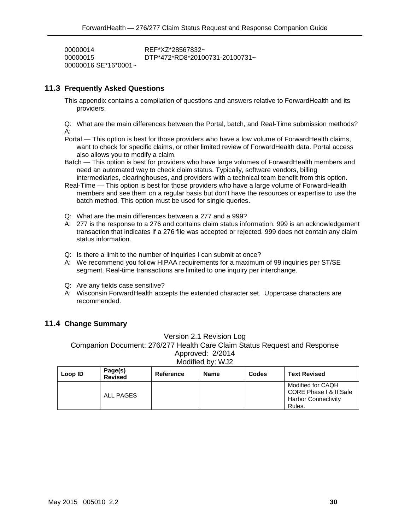00000014 REF\*XZ\*28567832~ 00000015 DTP\*472\*RD8\*20100731-20100731~ 00000016 SE\*16\*0001~

# <span id="page-29-0"></span>**11.3 Frequently Asked Questions**

This appendix contains a compilation of questions and answers relative to ForwardHealth and its providers.

Q: What are the main differences between the Portal, batch, and Real-Time submission methods? A:

- Portal This option is best for those providers who have a low volume of ForwardHealth claims, want to check for specific claims, or other limited review of ForwardHealth data. Portal access also allows you to modify a claim.
- Batch This option is best for providers who have large volumes of ForwardHealth members and need an automated way to check claim status. Typically, software vendors, billing intermediaries, clearinghouses, and providers with a technical team benefit from this option.
- Real-Time This option is best for those providers who have a large volume of ForwardHealth members and see them on a regular basis but don't have the resources or expertise to use the batch method. This option must be used for single queries.
- Q: What are the main differences between a 277 and a 999?
- A: 277 is the response to a 276 and contains claim status information. 999 is an acknowledgement transaction that indicates if a 276 file was accepted or rejected. 999 does not contain any claim status information.
- Q: Is there a limit to the number of inquiries I can submit at once?
- A: We recommend you follow HIPAA requirements for a maximum of 99 inquiries per ST/SE segment. Real-time transactions are limited to one inquiry per interchange.
- Q: Are any fields case sensitive?
- A: Wisconsin ForwardHealth accepts the extended character set. Uppercase characters are recommended.

## <span id="page-29-1"></span>**11.4 Change Summary**

Version 2.1 Revision Log Companion Document: 276/277 Health Care Claim Status Request and Response Approved: 2/2014 Modified by: WJ2

| Loop ID | Page(s)<br><b>Revised</b> | Reference | <b>Name</b> | Codes | <b>Text Revised</b>                                                                 |
|---------|---------------------------|-----------|-------------|-------|-------------------------------------------------------------------------------------|
|         | ALL PAGES                 |           |             |       | Modified for CAQH<br>CORE Phase   & II Safe<br><b>Harbor Connectivity</b><br>Rules. |